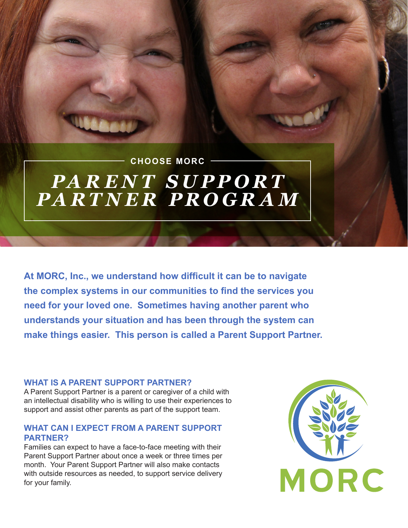## *PARENT SUPPORT PARTNER PROGRAM* **CHOOSE MORC**

**At MORC, Inc., we understand how difficult it can be to navigate the complex systems in our communities to find the services you need for your loved one. Sometimes having another parent who understands your situation and has been through the system can make things easier. This person is called a Parent Support Partner.**

### **WHAT IS A PARENT SUPPORT PARTNER?**

A Parent Support Partner is a parent or caregiver of a child with an intellectual disability who is willing to use their experiences to support and assist other parents as part of the support team.

## **WHAT CAN I EXPECT FROM A PARENT SUPPORT PARTNER?**

Families can expect to have a face-to-face meeting with their Parent Support Partner about once a week or three times per month. Your Parent Support Partner will also make contacts with outside resources as needed, to support service delivery for your family.